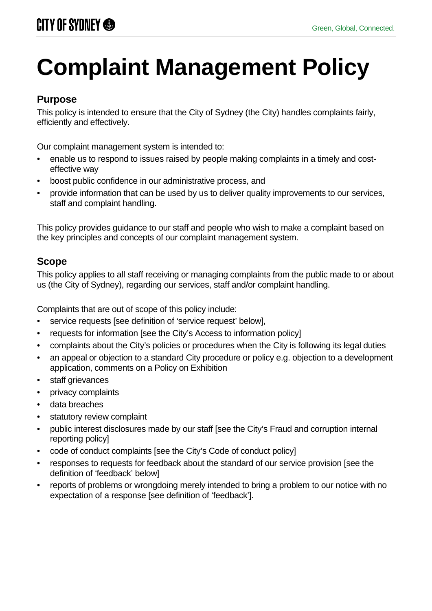# **Complaint Management Policy**

# **Purpose**

This policy is intended to ensure that the City of Sydney (the City) handles complaints fairly, efficiently and effectively.

Our complaint management system is intended to:

- enable us to respond to issues raised by people making complaints in a timely and costeffective way
- boost public confidence in our administrative process, and
- provide information that can be used by us to deliver quality improvements to our services, staff and complaint handling.

This policy provides guidance to our staff and people who wish to make a complaint based on the key principles and concepts of our complaint management system.

# **Scope**

This policy applies to all staff receiving or managing complaints from the public made to or about us (the City of Sydney), regarding our services, staff and/or complaint handling.

Complaints that are out of scope of this policy include:

- service requests [see definition of 'service request' below],
- requests for information [see the City's Access to information policy]
- complaints about the City's policies or procedures when the City is following its legal duties
- an appeal or objection to a standard City procedure or policy e.g. objection to a development application, comments on a Policy on Exhibition
- staff grievances
- privacy complaints
- data breaches
- statutory review complaint
- public interest disclosures made by our staff [see the City's Fraud and corruption internal reporting policy]
- code of conduct complaints [see the City's Code of conduct policy]
- responses to requests for feedback about the standard of our service provision [see the definition of 'feedback' below]
- reports of problems or wrongdoing merely intended to bring a problem to our notice with no expectation of a response [see definition of 'feedback'].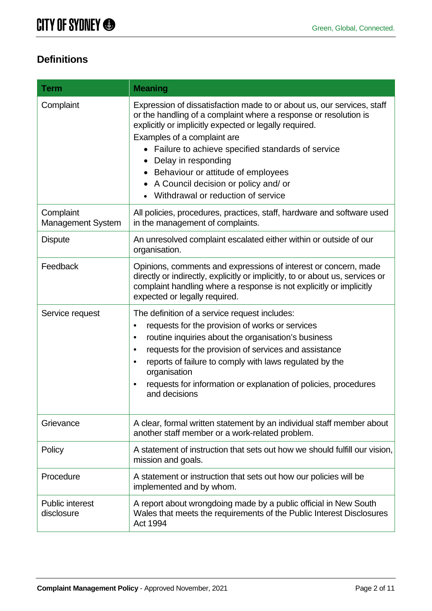# **Definitions**

| <b>Term</b>                           | <b>Meaning</b>                                                                                                                                                                                                                                                                                                                                                                                                                          |  |
|---------------------------------------|-----------------------------------------------------------------------------------------------------------------------------------------------------------------------------------------------------------------------------------------------------------------------------------------------------------------------------------------------------------------------------------------------------------------------------------------|--|
| Complaint                             | Expression of dissatisfaction made to or about us, our services, staff<br>or the handling of a complaint where a response or resolution is<br>explicitly or implicitly expected or legally required.<br>Examples of a complaint are<br>• Failure to achieve specified standards of service<br>Delay in responding<br>• Behaviour or attitude of employees<br>A Council decision or policy and/ or<br>Withdrawal or reduction of service |  |
| Complaint<br><b>Management System</b> | All policies, procedures, practices, staff, hardware and software used<br>in the management of complaints.                                                                                                                                                                                                                                                                                                                              |  |
| <b>Dispute</b>                        | An unresolved complaint escalated either within or outside of our<br>organisation.                                                                                                                                                                                                                                                                                                                                                      |  |
| Feedback                              | Opinions, comments and expressions of interest or concern, made<br>directly or indirectly, explicitly or implicitly, to or about us, services or<br>complaint handling where a response is not explicitly or implicitly<br>expected or legally required.                                                                                                                                                                                |  |
| Service request                       | The definition of a service request includes:                                                                                                                                                                                                                                                                                                                                                                                           |  |
|                                       | requests for the provision of works or services<br>$\bullet$                                                                                                                                                                                                                                                                                                                                                                            |  |
|                                       | routine inquiries about the organisation's business<br>$\bullet$                                                                                                                                                                                                                                                                                                                                                                        |  |
|                                       | requests for the provision of services and assistance<br>$\bullet$                                                                                                                                                                                                                                                                                                                                                                      |  |
|                                       | reports of failure to comply with laws regulated by the<br>$\bullet$<br>organisation                                                                                                                                                                                                                                                                                                                                                    |  |
|                                       | requests for information or explanation of policies, procedures<br>$\bullet$<br>and decisions                                                                                                                                                                                                                                                                                                                                           |  |
| Grievance                             | A clear, formal written statement by an individual staff member about<br>another staff member or a work-related problem.                                                                                                                                                                                                                                                                                                                |  |
| Policy                                | A statement of instruction that sets out how we should fulfill our vision,<br>mission and goals.                                                                                                                                                                                                                                                                                                                                        |  |
| Procedure                             | A statement or instruction that sets out how our policies will be<br>implemented and by whom.                                                                                                                                                                                                                                                                                                                                           |  |
| <b>Public interest</b><br>disclosure  | A report about wrongdoing made by a public official in New South<br>Wales that meets the requirements of the Public Interest Disclosures<br>Act 1994                                                                                                                                                                                                                                                                                    |  |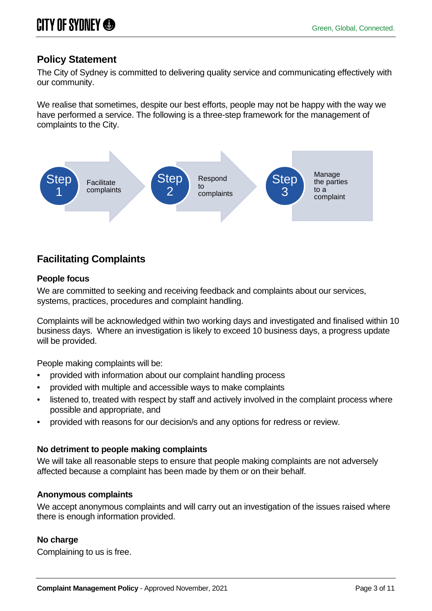# **Policy Statement**

The City of Sydney is committed to delivering quality service and communicating effectively with our community.

We realise that sometimes, despite our best efforts, people may not be happy with the way we have performed a service. The following is a three-step framework for the management of complaints to the City.



# **Facilitating Complaints**

## **People focus**

We are committed to seeking and receiving feedback and complaints about our services, systems, practices, procedures and complaint handling.

Complaints will be acknowledged within two working days and investigated and finalised within 10 business days. Where an investigation is likely to exceed 10 business days, a progress update will be provided.

People making complaints will be:

- provided with information about our complaint handling process
- provided with multiple and accessible ways to make complaints
- listened to, treated with respect by staff and actively involved in the complaint process where possible and appropriate, and
- provided with reasons for our decision/s and any options for redress or review.

# **No detriment to people making complaints**

We will take all reasonable steps to ensure that people making complaints are not adversely affected because a complaint has been made by them or on their behalf.

# **Anonymous complaints**

We accept anonymous complaints and will carry out an investigation of the issues raised where there is enough information provided.

# **No charge**

Complaining to us is free.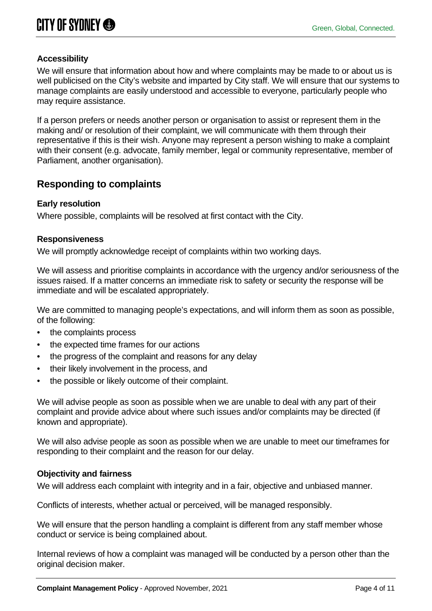# **Accessibility**

We will ensure that information about how and where complaints may be made to or about us is well publicised on the City's website and imparted by City staff. We will ensure that our systems to manage complaints are easily understood and accessible to everyone, particularly people who may require assistance.

If a person prefers or needs another person or organisation to assist or represent them in the making and/ or resolution of their complaint, we will communicate with them through their representative if this is their wish. Anyone may represent a person wishing to make a complaint with their consent (e.g. advocate, family member, legal or community representative, member of Parliament, another organisation).

# **Responding to complaints**

#### **Early resolution**

Where possible, complaints will be resolved at first contact with the City.

#### **Responsiveness**

We will promptly acknowledge receipt of complaints within two working days.

We will assess and prioritise complaints in accordance with the urgency and/or seriousness of the issues raised. If a matter concerns an immediate risk to safety or security the response will be immediate and will be escalated appropriately.

We are committed to managing people's expectations, and will inform them as soon as possible, of the following:

- the complaints process
- the expected time frames for our actions
- the progress of the complaint and reasons for any delay
- their likely involvement in the process, and
- the possible or likely outcome of their complaint.

We will advise people as soon as possible when we are unable to deal with any part of their complaint and provide advice about where such issues and/or complaints may be directed (if known and appropriate).

We will also advise people as soon as possible when we are unable to meet our timeframes for responding to their complaint and the reason for our delay.

#### **Objectivity and fairness**

We will address each complaint with integrity and in a fair, objective and unbiased manner.

Conflicts of interests, whether actual or perceived, will be managed responsibly.

We will ensure that the person handling a complaint is different from any staff member whose conduct or service is being complained about.

Internal reviews of how a complaint was managed will be conducted by a person other than the original decision maker.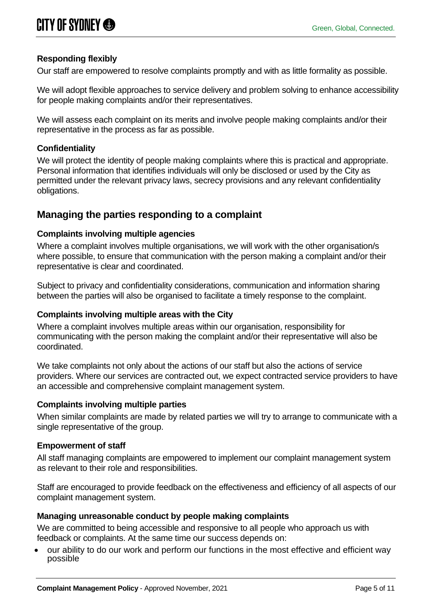## **Responding flexibly**

Our staff are empowered to resolve complaints promptly and with as little formality as possible.

We will adopt flexible approaches to service delivery and problem solving to enhance accessibility for people making complaints and/or their representatives.

We will assess each complaint on its merits and involve people making complaints and/or their representative in the process as far as possible.

#### **Confidentiality**

We will protect the identity of people making complaints where this is practical and appropriate. Personal information that identifies individuals will only be disclosed or used by the City as permitted under the relevant privacy laws, secrecy provisions and any relevant confidentiality obligations.

# **Managing the parties responding to a complaint**

#### **Complaints involving multiple agencies**

Where a complaint involves multiple organisations, we will work with the other organisation/s where possible, to ensure that communication with the person making a complaint and/or their representative is clear and coordinated.

Subject to privacy and confidentiality considerations, communication and information sharing between the parties will also be organised to facilitate a timely response to the complaint.

#### **Complaints involving multiple areas with the City**

Where a complaint involves multiple areas within our organisation, responsibility for communicating with the person making the complaint and/or their representative will also be coordinated.

We take complaints not only about the actions of our staff but also the actions of service providers. Where our services are contracted out, we expect contracted service providers to have an accessible and comprehensive complaint management system.

#### **Complaints involving multiple parties**

When similar complaints are made by related parties we will try to arrange to communicate with a single representative of the group.

#### **Empowerment of staff**

All staff managing complaints are empowered to implement our complaint management system as relevant to their role and responsibilities.

Staff are encouraged to provide feedback on the effectiveness and efficiency of all aspects of our complaint management system.

#### **Managing unreasonable conduct by people making complaints**

We are committed to being accessible and responsive to all people who approach us with feedback or complaints. At the same time our success depends on:

• our ability to do our work and perform our functions in the most effective and efficient way possible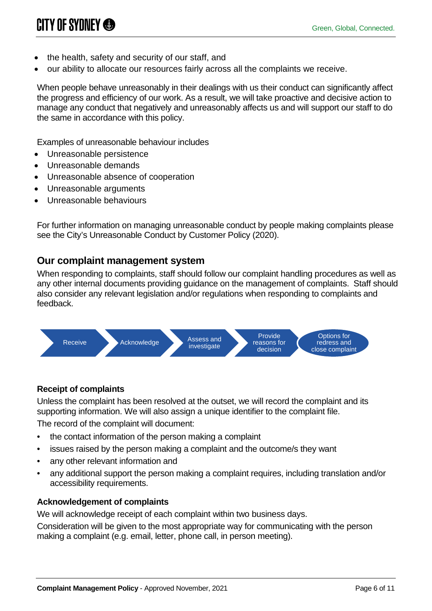- the health, safety and security of our staff, and
- our ability to allocate our resources fairly across all the complaints we receive.

When people behave unreasonably in their dealings with us their conduct can significantly affect the progress and efficiency of our work. As a result, we will take proactive and decisive action to manage any conduct that negatively and unreasonably affects us and will support our staff to do the same in accordance with this policy.

Examples of unreasonable behaviour includes

- Unreasonable persistence
- Unreasonable demands
- Unreasonable absence of cooperation
- Unreasonable arguments
- Unreasonable behaviours

For further information on managing unreasonable conduct by people making complaints please see the City's Unreasonable Conduct by Customer Policy (2020).

# **Our complaint management system**

When responding to complaints, staff should follow our complaint handling procedures as well as any other internal documents providing guidance on the management of complaints. Staff should also consider any relevant legislation and/or regulations when responding to complaints and feedback.



# **Receipt of complaints**

Unless the complaint has been resolved at the outset, we will record the complaint and its supporting information. We will also assign a unique identifier to the complaint file. The record of the complaint will document:

- the contact information of the person making a complaint
- issues raised by the person making a complaint and the outcome/s they want
- any other relevant information and
- any additional support the person making a complaint requires, including translation and/or accessibility requirements.

# **Acknowledgement of complaints**

We will acknowledge receipt of each complaint within two business days.

Consideration will be given to the most appropriate way for communicating with the person making a complaint (e.g. email, letter, phone call, in person meeting).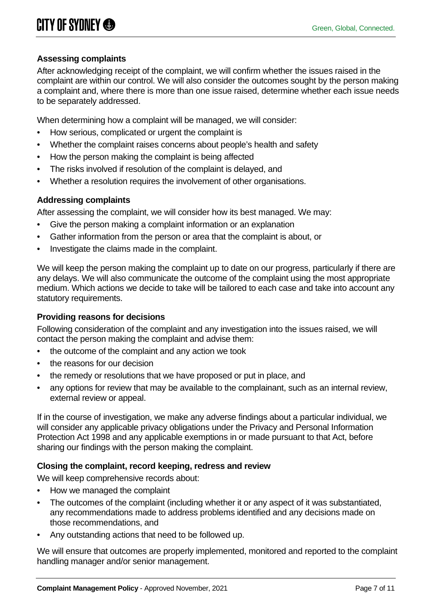## **Assessing complaints**

After acknowledging receipt of the complaint, we will confirm whether the issues raised in the complaint are within our control. We will also consider the outcomes sought by the person making a complaint and, where there is more than one issue raised, determine whether each issue needs to be separately addressed.

When determining how a complaint will be managed, we will consider:

- How serious, complicated or urgent the complaint is
- Whether the complaint raises concerns about people's health and safety
- How the person making the complaint is being affected
- The risks involved if resolution of the complaint is delayed, and
- Whether a resolution requires the involvement of other organisations.

## **Addressing complaints**

After assessing the complaint, we will consider how its best managed. We may:

- Give the person making a complaint information or an explanation
- Gather information from the person or area that the complaint is about, or
- Investigate the claims made in the complaint.

We will keep the person making the complaint up to date on our progress, particularly if there are any delays. We will also communicate the outcome of the complaint using the most appropriate medium. Which actions we decide to take will be tailored to each case and take into account any statutory requirements.

#### **Providing reasons for decisions**

Following consideration of the complaint and any investigation into the issues raised, we will contact the person making the complaint and advise them:

- the outcome of the complaint and any action we took
- the reasons for our decision
- the remedy or resolutions that we have proposed or put in place, and
- any options for review that may be available to the complainant, such as an internal review, external review or appeal.

If in the course of investigation, we make any adverse findings about a particular individual, we will consider any applicable privacy obligations under the Privacy and Personal Information Protection Act 1998 and any applicable exemptions in or made pursuant to that Act, before sharing our findings with the person making the complaint.

#### **Closing the complaint, record keeping, redress and review**

We will keep comprehensive records about:

- How we managed the complaint
- The outcomes of the complaint (including whether it or any aspect of it was substantiated, any recommendations made to address problems identified and any decisions made on those recommendations, and
- Any outstanding actions that need to be followed up.

We will ensure that outcomes are properly implemented, monitored and reported to the complaint handling manager and/or senior management.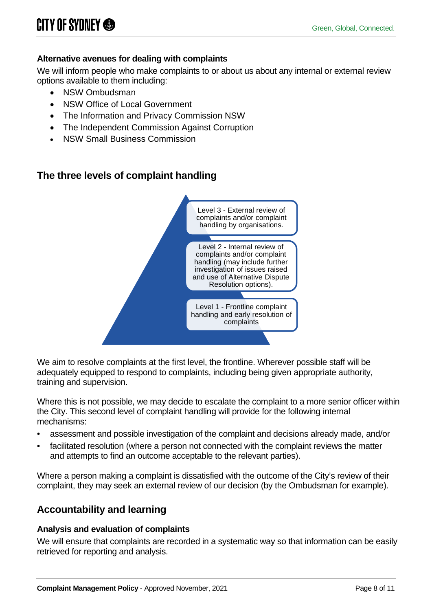# **Alternative avenues for dealing with complaints**

We will inform people who make complaints to or about us about any internal or external review options available to them including:

- NSW Ombudsman
- NSW Office of Local Government
- The Information and Privacy Commission NSW
- The Independent Commission Against Corruption
- **NSW Small Business Commission**

# **The three levels of complaint handling**



We aim to resolve complaints at the first level, the frontline. Wherever possible staff will be adequately equipped to respond to complaints, including being given appropriate authority, training and supervision.

Where this is not possible, we may decide to escalate the complaint to a more senior officer within the City. This second level of complaint handling will provide for the following internal mechanisms:

- assessment and possible investigation of the complaint and decisions already made, and/or
- facilitated resolution (where a person not connected with the complaint reviews the matter and attempts to find an outcome acceptable to the relevant parties).

Where a person making a complaint is dissatisfied with the outcome of the City's review of their complaint, they may seek an external review of our decision (by the Ombudsman for example).

# **Accountability and learning**

#### **Analysis and evaluation of complaints**

We will ensure that complaints are recorded in a systematic way so that information can be easily retrieved for reporting and analysis.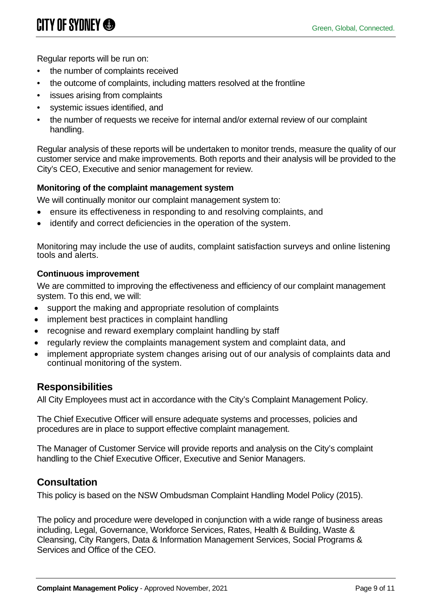Regular reports will be run on:

- the number of complaints received
- the outcome of complaints, including matters resolved at the frontline
- issues arising from complaints
- systemic issues identified, and
- the number of requests we receive for internal and/or external review of our complaint handling.

Regular analysis of these reports will be undertaken to monitor trends, measure the quality of our customer service and make improvements. Both reports and their analysis will be provided to the City's CEO, Executive and senior management for review.

#### **Monitoring of the complaint management system**

We will continually monitor our complaint management system to:

- ensure its effectiveness in responding to and resolving complaints, and
- identify and correct deficiencies in the operation of the system.

Monitoring may include the use of audits, complaint satisfaction surveys and online listening tools and alerts.

#### **Continuous improvement**

We are committed to improving the effectiveness and efficiency of our complaint management system. To this end, we will:

- support the making and appropriate resolution of complaints
- implement best practices in complaint handling
- recognise and reward exemplary complaint handling by staff
- regularly review the complaints management system and complaint data, and
- implement appropriate system changes arising out of our analysis of complaints data and continual monitoring of the system.

# **Responsibilities**

All City Employees must act in accordance with the City's Complaint Management Policy.

The Chief Executive Officer will ensure adequate systems and processes, policies and procedures are in place to support effective complaint management.

The Manager of Customer Service will provide reports and analysis on the City's complaint handling to the Chief Executive Officer, Executive and Senior Managers.

# **Consultation**

This policy is based on the NSW Ombudsman Complaint Handling Model Policy (2015).

The policy and procedure were developed in conjunction with a wide range of business areas including, Legal, Governance, Workforce Services, Rates, Health & Building, Waste & Cleansing, City Rangers, Data & Information Management Services, Social Programs & Services and Office of the CEO.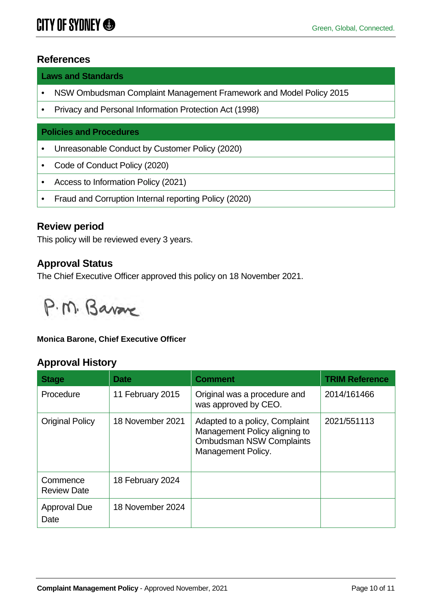# **References**

**Laws and Standards**

- NSW Ombudsman Complaint Management Framework and Model Policy 2015
- Privacy and Personal Information Protection Act (1998)

#### **Policies and Procedures**

- Unreasonable Conduct by Customer Policy (2020)
- Code of Conduct Policy (2020)
- Access to Information Policy (2021)
- Fraud and Corruption Internal reporting Policy (2020)

# **Review period**

This policy will be reviewed every 3 years.

# **Approval Status**

The Chief Executive Officer approved this policy on 18 November 2021.



#### **Monica Barone, Chief Executive Officer**

# **Approval History**

| <b>Stage</b>                   | Date             | <b>Comment</b>                                                                                                           | <b>TRIM Reference</b> |
|--------------------------------|------------------|--------------------------------------------------------------------------------------------------------------------------|-----------------------|
| Procedure                      | 11 February 2015 | Original was a procedure and<br>was approved by CEO.                                                                     | 2014/161466           |
| <b>Original Policy</b>         | 18 November 2021 | Adapted to a policy, Complaint<br>Management Policy aligning to<br><b>Ombudsman NSW Complaints</b><br>Management Policy. | 2021/551113           |
| Commence<br><b>Review Date</b> | 18 February 2024 |                                                                                                                          |                       |
| <b>Approval Due</b><br>Date    | 18 November 2024 |                                                                                                                          |                       |